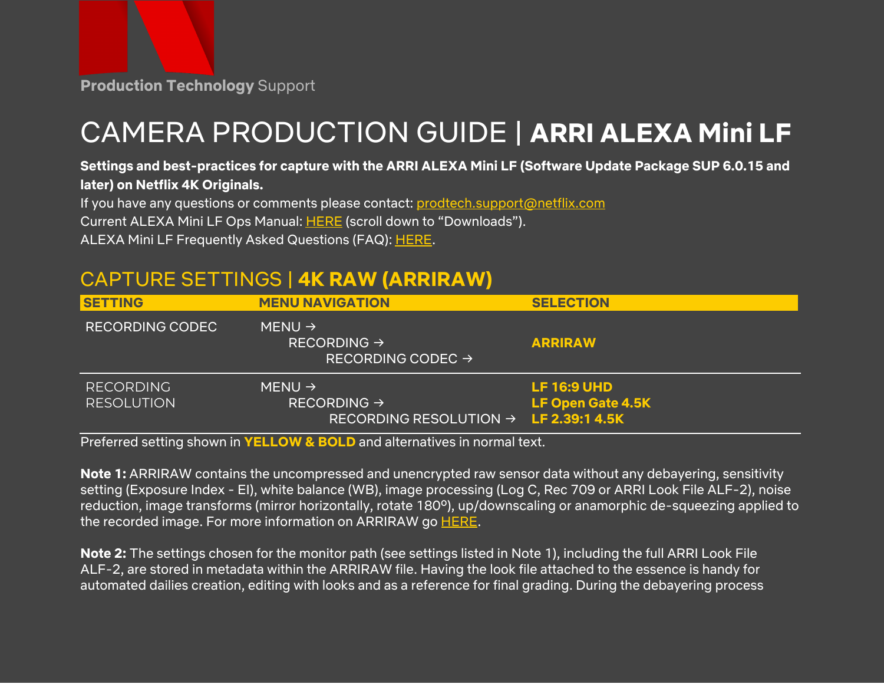# CAMERA PRODUCTION GUIDE | **ARRI ALEXA Mini LF**

#### Settings and best-practices for capture with the ARRI ALEXA Mini LF (Software Update Package SUP 6.0.15 and **later) on Netflix 4K Originals.**

If you have any questions or comments please contact: [prodtech.support@netflix.com](mailto:prodtech.support@netflix.com)

Current ALEXA Mini LF Ops Manual: [HERE](https://www.arri.com/en/camera-systems/cameras/alexa-mini-lf) (scroll down to "Downloads").

ALEXA Mini LF Frequently Asked Questions (FAQ): [HERE](https://www.arri.com/en/learn-help/learn-help-camera-system/frequently-asked-questions/alexa-mini-lf-faq).

## CAPTURE SETTINGS | **4K RAW (ARRIRAW)**

| <b>SETTING</b>                        | <b>MENU NAVIGATION</b>                                                                             | <b>SELECTION</b>                               |
|---------------------------------------|----------------------------------------------------------------------------------------------------|------------------------------------------------|
| <b>RECORDING CODEC</b>                | MENU $\rightarrow$<br>RECORDING $\rightarrow$<br>RECORDING CODEC $\rightarrow$                     | <b>ARRIRAW</b>                                 |
| <b>RECORDING</b><br><b>RESOLUTION</b> | MENU $\rightarrow$<br>RECORDING $\rightarrow$<br>RECORDING RESOLUTION $\rightarrow$ LF 2.39:1 4.5K | <b>LF 16:9 UHD</b><br><b>LF Open Gate 4.5K</b> |

Preferred setting shown in **YELLOW & BOLD** and alternatives in normal text.

**Note 1:** ARRIRAW contains the uncompressed and unencrypted raw sensor data without any debayering, sensitivity setting (Exposure Index - EI), white balance (WB), image processing (Log C, Rec 709 or ARRI Look File ALF-2), noise reduction, image transforms (mirror horizontally, rotate 180º), up/downscaling or anamorphic de-squeezing applied to the recorded image. For more information on ARRIRAW go [HERE.](https://www.arri.com/en/learn-help/learn-help-camera-system/camera-workflow/arriraw)

**Note 2:** The settings chosen for the monitor path (see settings listed in Note 1), including the full ARRI Look File ALF-2, are stored in metadata within the ARRIRAW file. Having the look file attached to the essence is handy for automated dailies creation, editing with looks and as a reference for final grading. During the debayering process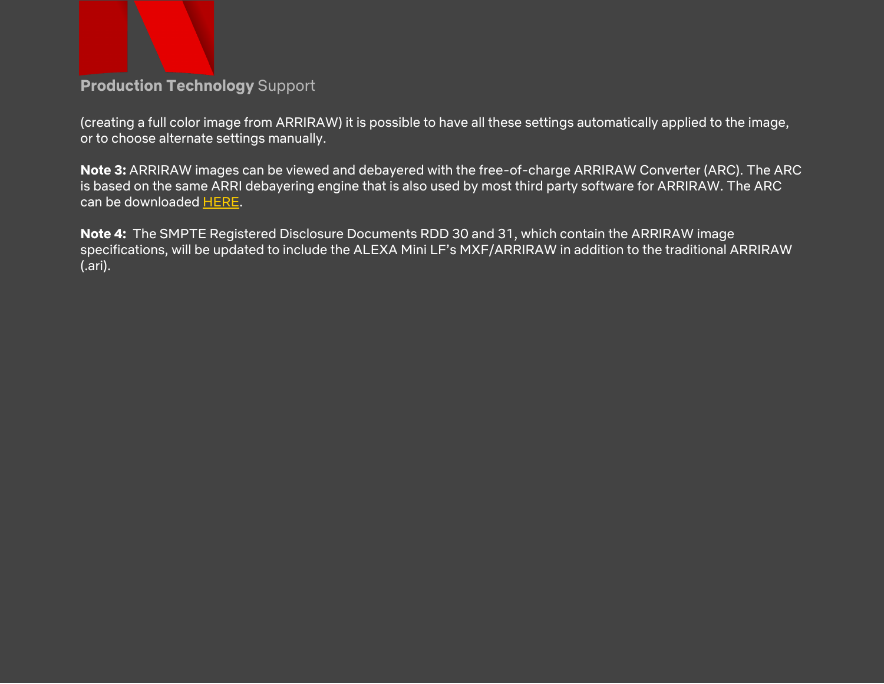

(creating a full color image from ARRIRAW) it is possible to have all these settings automatically applied to the image, or to choose alternate settings manually.

**Note 3:** ARRIRAW images can be viewed and debayered with the free-of-charge ARRIRAW Converter (ARC). The ARC is based on the same ARRI debayering engine that is also used by most third party software for ARRIRAW. The ARC can be downloaded [HERE](https://www.arri.com/en/learn-help/learn-help-camera-system/tools/arriraw-converter).

**Note 4:** The SMPTE Registered Disclosure Documents RDD 30 and 31, which contain the ARRIRAW image specifications, will be updated to include the ALEXA Mini LF's MXF/ARRIRAW in addition to the traditional ARRIRAW (.ari).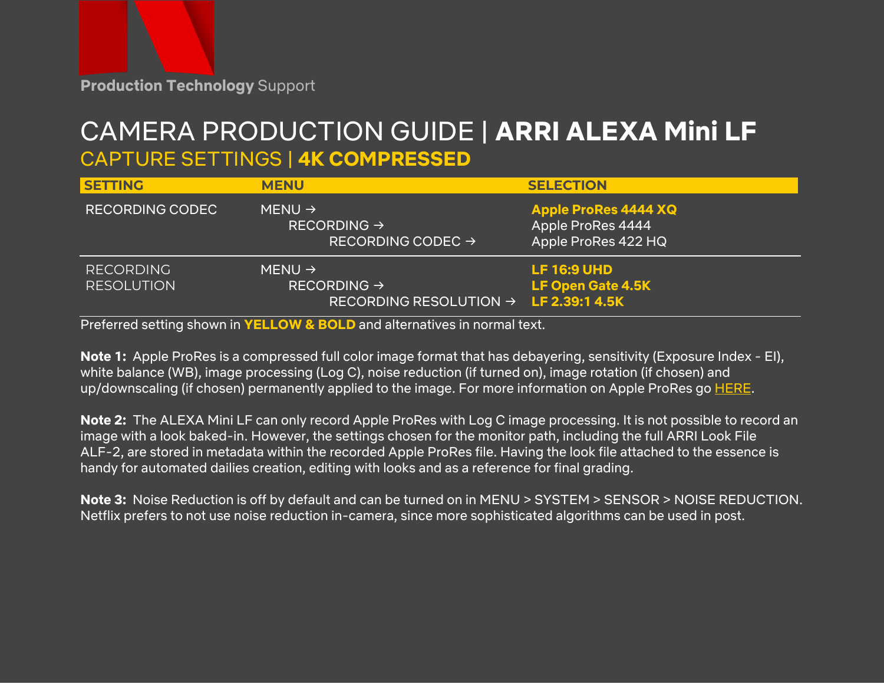## CAMERA PRODUCTION GUIDE | **ARRI ALEXA Mini LF** CAPTURE SETTINGS | **4K COMPRESSED**

| <b>SETTING</b>                        | <b>MENU</b>                                                                                        | <b>SELECTION</b>                                                        |
|---------------------------------------|----------------------------------------------------------------------------------------------------|-------------------------------------------------------------------------|
| <b>RECORDING CODEC</b>                | MENU $\rightarrow$<br>RECORDING $\rightarrow$<br>RECORDING CODEC $\rightarrow$                     | <b>Apple ProRes 4444 XQ</b><br>Apple ProRes 4444<br>Apple ProRes 422 HQ |
| <b>RECORDING</b><br><b>RESOLUTION</b> | MENU $\rightarrow$<br>RECORDING $\rightarrow$<br>RECORDING RESOLUTION $\rightarrow$ LF 2.39:1 4.5K | <b>LF 16:9 UHD</b><br><b>LF Open Gate 4.5K</b>                          |

Preferred setting shown in **YELLOW & BOLD** and alternatives in normal text.

**Note 1:** Apple ProRes is a compressed full color image format that has debayering, sensitivity (Exposure Index - EI), white balance (WB), image processing (Log C), noise reduction (if turned on), image rotation (if chosen) and up/downscaling (if chosen) permanently applied to the image. For more information on Apple ProRes go **[HERE](https://www.arri.com/en/learn-help/learn-help-camera-system/camera-workflow/pores)**.

**Note 2:** The ALEXA Mini LF can only record Apple ProRes with Log C image processing. It is not possible to record an image with a look baked-in. However, the settings chosen for the monitor path, including the full ARRI Look File ALF-2, are stored in metadata within the recorded Apple ProRes file. Having the look file attached to the essence is handy for automated dailies creation, editing with looks and as a reference for final grading.

**Note 3:** Noise Reduction is off by default and can be turned on in MENU > SYSTEM > SENSOR > NOISE REDUCTION. Netflix prefers to not use noise reduction in-camera, since more sophisticated algorithms can be used in post.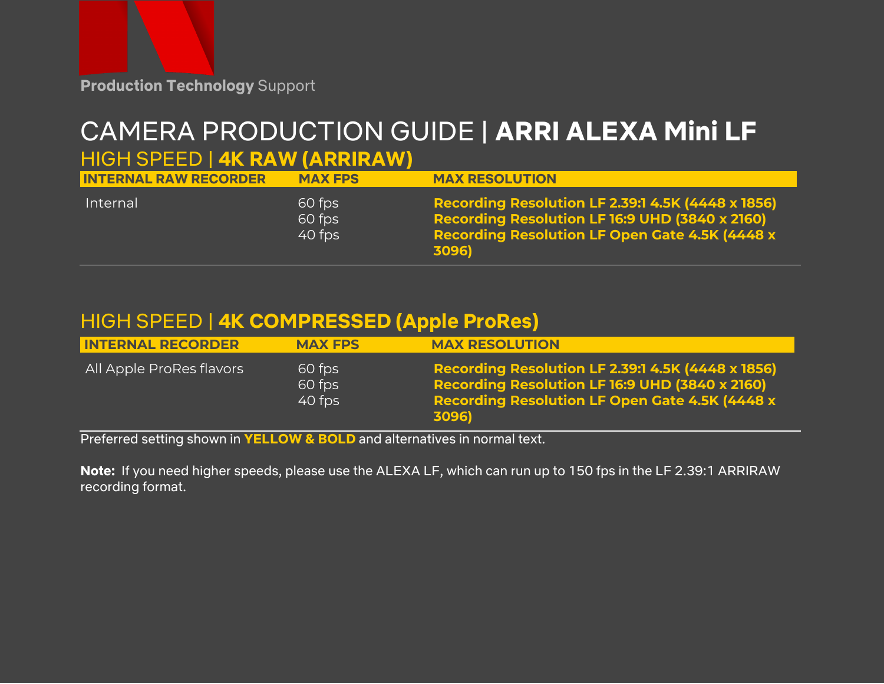

# CAMERA PRODUCTION GUIDE | **ARRI ALEXA Mini LF**

### HIGH SPEED | **4K RAW (ARRIRAW)**

| <b>INTERNAL RAW RECORDER</b> | <b>MAX FPS</b>                 | <b>MAX RESOLUTION</b>                                                                                                                                                        |
|------------------------------|--------------------------------|------------------------------------------------------------------------------------------------------------------------------------------------------------------------------|
| Internal                     | 60 fps<br>$60$ fps<br>$40$ fps | <b>Recording Resolution LF 2.39:1 4.5K (4448 x 1856)</b><br>Recording Resolution LF 16:9 UHD (3840 x 2160)<br><b>Recording Resolution LF Open Gate 4.5K [4448 x</b><br>3096) |

## HIGH SPEED | **4K COMPRESSED (Apple ProRes)**

| <b>INTERNAL RECORDER</b> | <b>MAX FPS</b>             | <b>MAX RESOLUTION</b>                                                                                                                                                         |
|--------------------------|----------------------------|-------------------------------------------------------------------------------------------------------------------------------------------------------------------------------|
| All Apple ProRes flavors | 60 fps<br>60 fps<br>40 fps | <b>Recording Resolution LF 2.39:1 4.5K (4448 x 1856)</b><br>Recording Resolution LF 16:9 UHD (3840 x 2160)<br><b>Recording Resolution LF Open Gate 4.5K (4448 x)</b><br>3096) |

Preferred setting shown in **YELLOW & BOLD** and alternatives in normal text.

**Note:** If you need higher speeds, please use the ALEXA LF, which can run up to 150 fps in the LF 2.39:1 ARRIRAW recording format.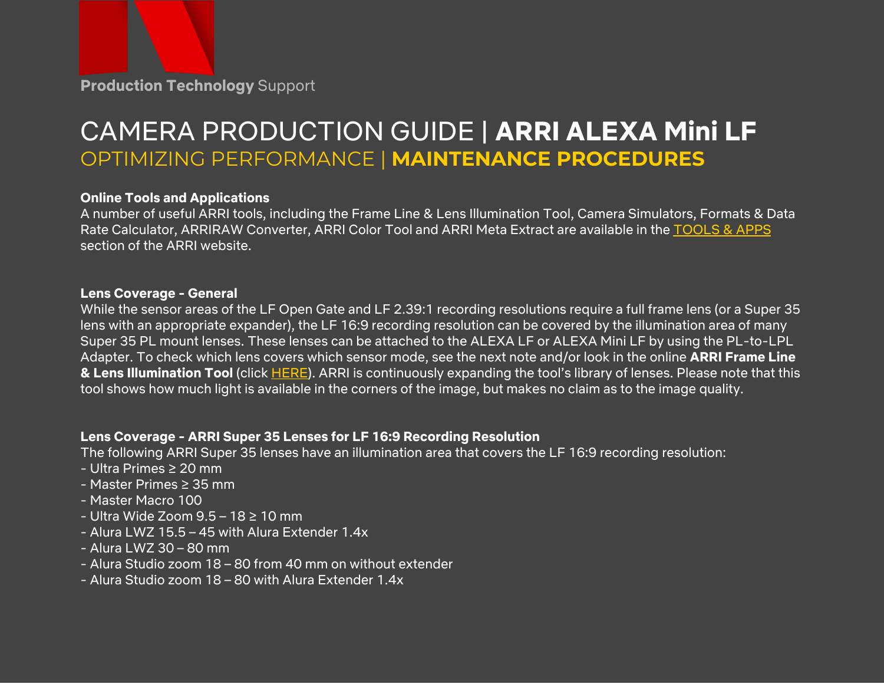## CAMERA PRODUCTION GUIDE | **ARRI ALEXA Mini LF** OPTIMIZING PERFORMANCE | **MAINTENANCE PROCEDURES**

#### **Online Tools and Applications**

A number of useful ARRI tools, including the Frame Line & Lens Illumination Tool, Camera Simulators, Formats & Data Rate Calculator, ARRIRAW Converter, ARRI Color Tool and ARRI Meta Extract are available in the [TOOLS](https://www.arri.com/en/learn-help/learn-help-camera-system/tools) & APPS section of the ARRI website.

#### **Lens Coverage - General**

While the sensor areas of the LF Open Gate and LF 2.39:1 recording resolutions require a full frame lens (or a Super 35 lens with an appropriate expander), the LF 16:9 recording resolution can be covered by the illumination area of many Super 35 PL mount lenses. These lenses can be attached to the ALEXA LF or ALEXA Mini LF by using the PL-to-LPL Adapter. To check which lens covers which sensor mode, see the next note and/or look in the online **ARRI Frame Line & Lens Illumination Tool** (click [HERE\)](https://www.arri.com/en/learn-help/learn-help-camera-system/tools/lens-illumination-guide). ARRI is continuously expanding the tool's library of lenses. Please note that this tool shows how much light is available in the corners of the image, but makes no claim as to the image quality.

#### **Lens Coverage - ARRI Super 35 Lenses for LF 16:9 Recording Resolution**

The following ARRI Super 35 lenses have an illumination area that covers the LF 16:9 recording resolution:

- Ultra Primes ≥ 20 mm
- Master Primes ≥ 35 mm
- Master Macro 100
- Ultra Wide Zoom 9.5 18 ≥ 10 mm
- Alura LWZ 15.5 45 with Alura Extender 1.4x
- Alura LWZ 30 80 mm
- Alura Studio zoom 18 80 from 40 mm on without extender
- Alura Studio zoom 18 80 with Alura Extender 1.4x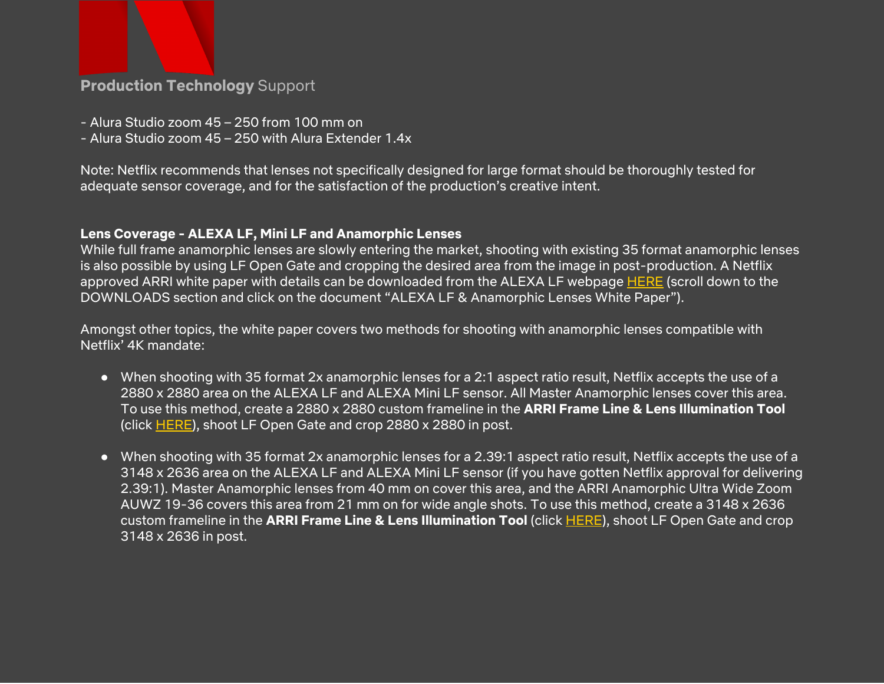

- Alura Studio zoom 45 250 from 100 mm on
- Alura Studio zoom 45 250 with Alura Extender 1.4x

Note: Netflix recommends that lenses not specifically designed for large format should be thoroughly tested for adequate sensor coverage, and for the satisfaction of the production's creative intent.

#### **Lens Coverage - ALEXA LF, Mini LF and Anamorphic Lenses**

While full frame anamorphic lenses are slowly entering the market, shooting with existing 35 format anamorphic lenses is also possible by using LF Open Gate and cropping the desired area from the image in post-production. A Netflix approved ARRI white paper with details can be downloaded from the ALEXA LF webpage [HERE](https://www.arri.com/en/camera-systems/cameras/alexa-lf) (scroll down to the DOWNLOADS section and click on the document "ALEXA LF & Anamorphic Lenses White Paper").

Amongst other topics, the white paper covers two methods for shooting with anamorphic lenses compatible with Netflix' 4K mandate:

- When shooting with 35 format 2x anamorphic lenses for a 2:1 aspect ratio result, Netflix accepts the use of a 2880 x 2880 area on the ALEXA LF and ALEXA Mini LF sensor. All Master Anamorphic lenses cover this area. To use this method, create a 2880 x 2880 custom frameline in the **ARRI Frame Line & Lens Illumination Tool** (click [HERE](https://www.arri.com/en/learn-help/learn-help-camera-system/tools/lens-illumination-guide)), shoot LF Open Gate and crop 2880 x 2880 in post.
- When shooting with 35 format 2x anamorphic lenses for a 2.39:1 aspect ratio result, Netflix accepts the use of a 3148 x 2636 area on the ALEXA LF and ALEXA Mini LF sensor (if you have gotten Netflix approval for delivering 2.39:1). Master Anamorphic lenses from 40 mm on cover this area, and the ARRI Anamorphic Ultra Wide Zoom AUWZ 19-36 covers this area from 21 mm on for wide angle shots. To use this method, create a 3148 x 2636 custom frameline in the **ARRI Frame Line & Lens Illumination Tool** (click [HERE](https://www.arri.com/en/learn-help/learn-help-camera-system/tools/lens-illumination-guide)), shoot LF Open Gate and crop 3148 x 2636 in post.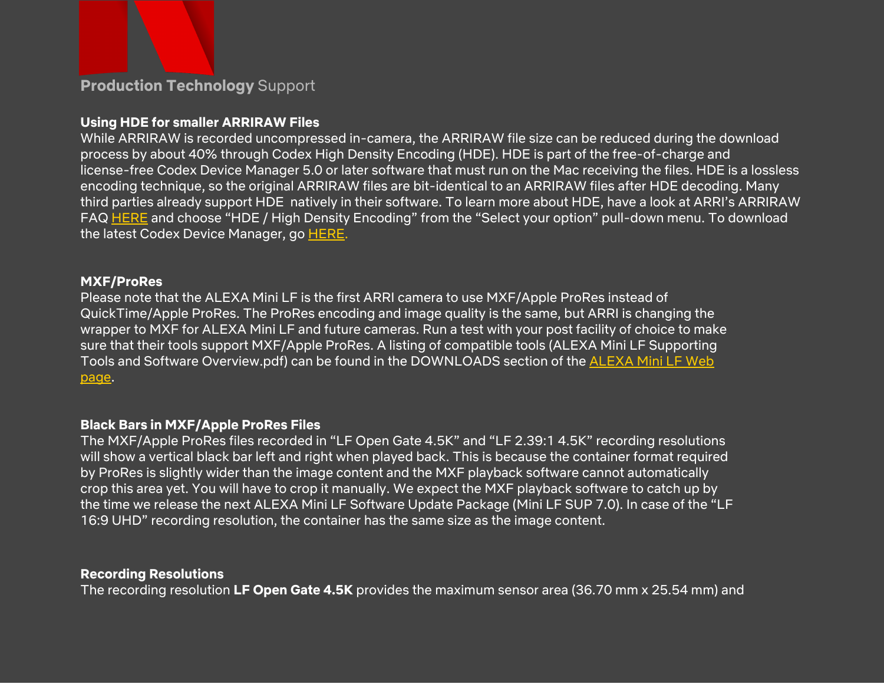#### **Using HDE for smaller ARRIRAW Files**

While ARRIRAW is recorded uncompressed in-camera, the ARRIRAW file size can be reduced during the download process by about 40% through Codex High Density Encoding (HDE). HDE is part of the free-of-charge and license-free Codex Device Manager 5.0 or later software that must run on the Mac receiving the files. HDE is a lossless encoding technique, so the original ARRIRAW files are bit-identical to an ARRIRAW files after HDE decoding. Many third parties already support HDE natively in their software. To learn more about HDE, have a look at ARRI's ARRIRAW FAQ [HERE](https://www.arri.com/en/learn-help/learn-help-camera-system/frequently-asked-questions/arriraw-faq) and choose "HDE / High Density Encoding" from the "Select your option" pull-down menu. To download the latest Codex Device Manager, go [HERE.](https://codex.online/products/device-manager)

#### **MXF/ProRes**

Please note that the ALEXA Mini LF is the first ARRI camera to use MXF/Apple ProRes instead of QuickTime/Apple ProRes. The ProRes encoding and image quality is the same, but ARRI is changing the wrapper to MXF for ALEXA Mini LF and future cameras. Run a test with your post facility of choice to make sure that their tools support MXF/Apple ProRes. A listing of compatible tools (ALEXA Mini LF Supporting Tools and Software Overview.pdf) can be found in the DOWNLOADS section of the [ALEXA](https://www.arri.com/en/camera-systems/cameras/alexa-mini-lf) Mini LF Web [page.](https://www.arri.com/en/camera-systems/cameras/alexa-mini-lf)

#### **Black Bars in MXF/Apple ProRes Files**

The MXF/Apple ProRes files recorded in "LF Open Gate 4.5K" and "LF 2.39:1 4.5K" recording resolutions will show a vertical black bar left and right when played back. This is because the container format required by ProRes is slightly wider than the image content and the MXF playback software cannot automatically crop this area yet. You will have to crop it manually. We expect the MXF playback software to catch up by the time we release the next ALEXA Mini LF Software Update Package (Mini LF SUP 7.0). In case of the "LF 16:9 UHD" recording resolution, the container has the same size as the image content.

#### **Recording Resolutions**

The recording resolution **LF Open Gate 4.5K** provides the maximum sensor area (36.70 mm x 25.54 mm) and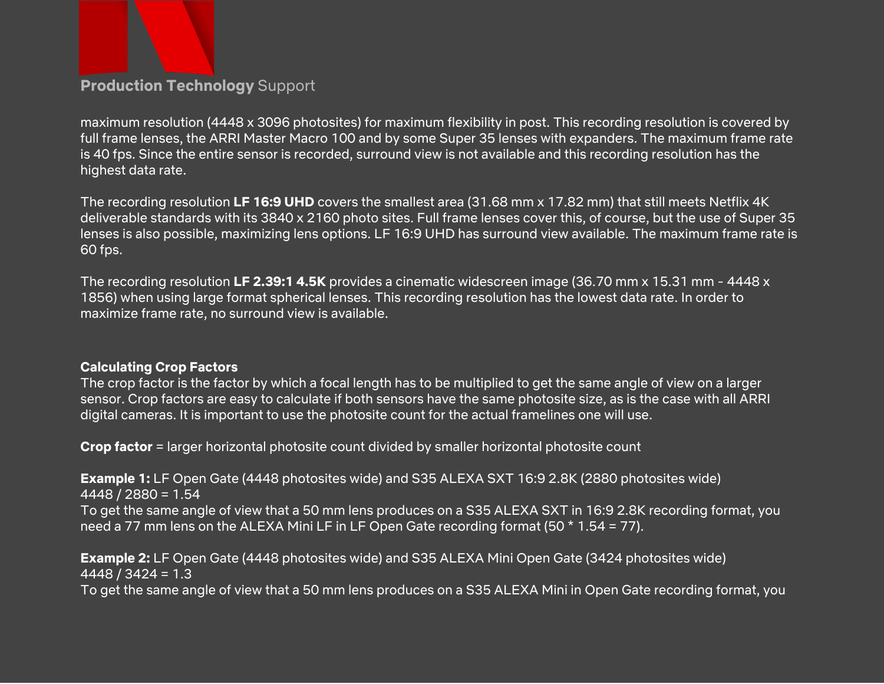

maximum resolution (4448 x 3096 photosites) for maximum flexibility in post. This recording resolution is covered by full frame lenses, the ARRI Master Macro 100 and by some Super 35 lenses with expanders. The maximum frame rate is 40 fps. Since the entire sensor is recorded, surround view is not available and this recording resolution has the highest data rate.

The recording resolution **LF 16:9 UHD** covers the smallest area (31.68 mm x 17.82 mm) that still meets Netflix 4K deliverable standards with its 3840 x 2160 photo sites. Full frame lenses cover this, of course, but the use of Super 35 lenses is also possible, maximizing lens options. LF 16:9 UHD has surround view available. The maximum frame rate is 60 fps.

The recording resolution **LF 2.39:1 4.5K** provides a cinematic widescreen image (36.70 mm x 15.31 mm - 4448 x 1856) when using large format spherical lenses. This recording resolution has the lowest data rate. In order to maximize frame rate, no surround view is available.

#### **Calculating Crop Factors**

The crop factor is the factor by which a focal length has to be multiplied to get the same angle of view on a larger sensor. Crop factors are easy to calculate if both sensors have the same photosite size, as is the case with all ARRI digital cameras. It is important to use the photosite count for the actual framelines one will use.

**Crop factor** = larger horizontal photosite count divided by smaller horizontal photosite count

**Example 1:** LF Open Gate (4448 photosites wide) and S35 ALEXA SXT 16:9 2.8K (2880 photosites wide) 4448 / 2880 = 1.54

To get the same angle of view that a 50 mm lens produces on a S35 ALEXA SXT in 16:9 2.8K recording format, you need a 77 mm lens on the ALEXA Mini LF in LF Open Gate recording format (50 \* 1.54 = 77).

**Example 2:** LF Open Gate (4448 photosites wide) and S35 ALEXA Mini Open Gate (3424 photosites wide)  $4448 / 3424 = 1.3$ 

To get the same angle of view that a 50 mm lens produces on a S35 ALEXA Mini in Open Gate recording format, you